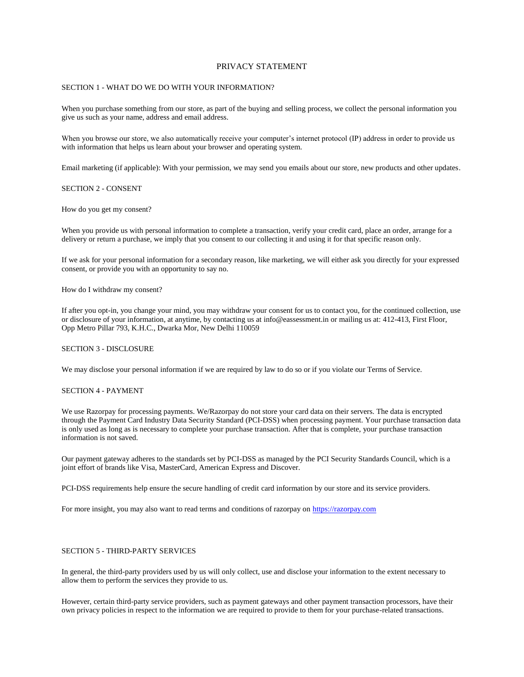# PRIVACY STATEMENT

# SECTION 1 - WHAT DO WE DO WITH YOUR INFORMATION?

When you purchase something from our store, as part of the buying and selling process, we collect the personal information you give us such as your name, address and email address.

When you browse our store, we also automatically receive your computer's internet protocol (IP) address in order to provide us with information that helps us learn about your browser and operating system.

Email marketing (if applicable): With your permission, we may send you emails about our store, new products and other updates.

### SECTION 2 - CONSENT

How do you get my consent?

When you provide us with personal information to complete a transaction, verify your credit card, place an order, arrange for a delivery or return a purchase, we imply that you consent to our collecting it and using it for that specific reason only.

If we ask for your personal information for a secondary reason, like marketing, we will either ask you directly for your expressed consent, or provide you with an opportunity to say no.

How do I withdraw my consent?

If after you opt-in, you change your mind, you may withdraw your consent for us to contact you, for the continued collection, use or disclosure of your information, at anytime, by contacting us at info@eassessment.in or mailing us at: 412-413, First Floor, Opp Metro Pillar 793, K.H.C., Dwarka Mor, New Delhi 110059

### SECTION 3 - DISCLOSURE

We may disclose your personal information if we are required by law to do so or if you violate our Terms of Service.

# SECTION 4 - PAYMENT

We use Razorpay for processing payments. We/Razorpay do not store your card data on their servers. The data is encrypted through the Payment Card Industry Data Security Standard (PCI-DSS) when processing payment. Your purchase transaction data is only used as long as is necessary to complete your purchase transaction. After that is complete, your purchase transaction information is not saved.

Our payment gateway adheres to the standards set by PCI-DSS as managed by the PCI Security Standards Council, which is a joint effort of brands like Visa, MasterCard, American Express and Discover.

PCI-DSS requirements help ensure the secure handling of credit card information by our store and its service providers.

For more insight, you may also want to read terms and conditions of razorpay on [https://razorpay.com](https://www.google.com/url?q=https://razorpay.com&sa=D&ust=1499766387998000&usg=AFQjCNEjrUJOuVXZFcpgMmvuOmZ2gPkTiA)

# SECTION 5 - THIRD-PARTY SERVICES

In general, the third-party providers used by us will only collect, use and disclose your information to the extent necessary to allow them to perform the services they provide to us.

However, certain third-party service providers, such as payment gateways and other payment transaction processors, have their own privacy policies in respect to the information we are required to provide to them for your purchase-related transactions.